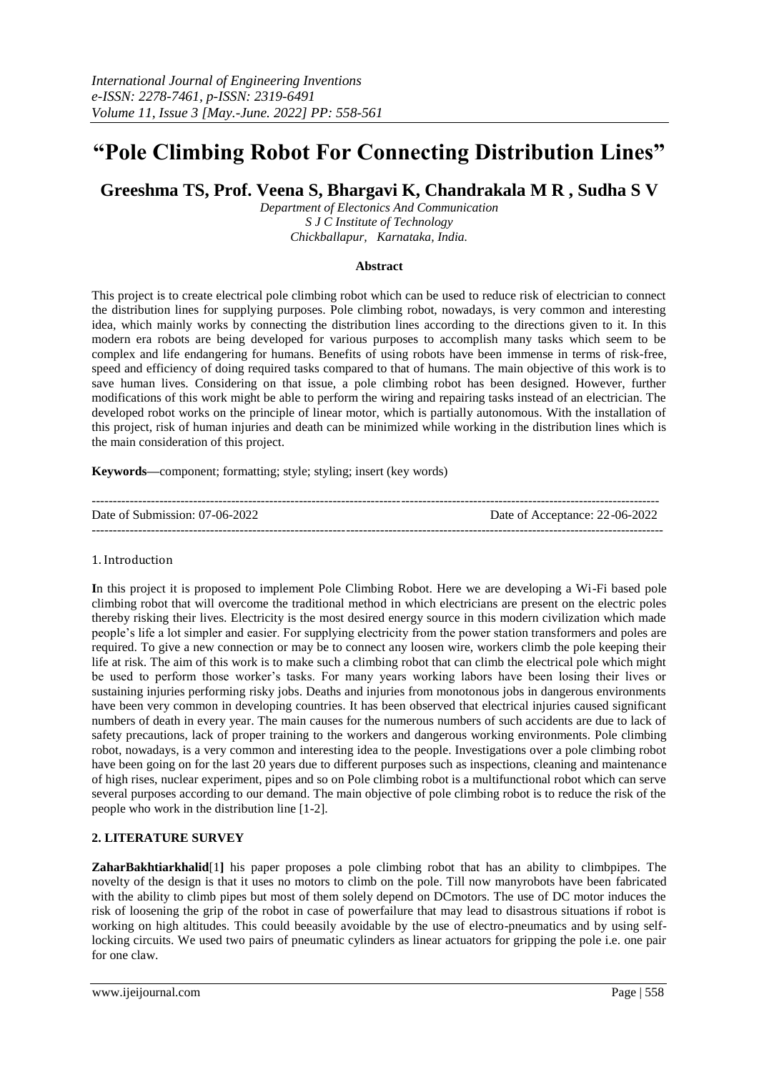# **"Pole Climbing Robot For Connecting Distribution Lines"**

**Greeshma TS, Prof. Veena S, Bhargavi K, Chandrakala M R , Sudha S V**

*Department of Electonics And Communication S J C Institute of Technology Chickballapur, Karnataka, India.* 

#### **Abstract**

This project is to create electrical pole climbing robot which can be used to reduce risk of electrician to connect the distribution lines for supplying purposes. Pole climbing robot, nowadays, is very common and interesting idea, which mainly works by connecting the distribution lines according to the directions given to it. In this modern era robots are being developed for various purposes to accomplish many tasks which seem to be complex and life endangering for humans. Benefits of using robots have been immense in terms of risk-free, speed and efficiency of doing required tasks compared to that of humans. The main objective of this work is to save human lives. Considering on that issue, a pole climbing robot has been designed. However, further modifications of this work might be able to perform the wiring and repairing tasks instead of an electrician. The developed robot works on the principle of linear motor, which is partially autonomous. With the installation of this project, risk of human injuries and death can be minimized while working in the distribution lines which is the main consideration of this project.

**Keywords—**component; formatting; style; styling; insert (key words)

| Date of Submission: $07-06-2022$ | Date of Acceptance: 22-06-2022 |
|----------------------------------|--------------------------------|
|                                  |                                |

### 1. Introduction

**I**n this project it is proposed to implement Pole Climbing Robot. Here we are developing a Wi-Fi based pole climbing robot that will overcome the traditional method in which electricians are present on the electric poles thereby risking their lives. Electricity is the most desired energy source in this modern civilization which made people's life a lot simpler and easier. For supplying electricity from the power station transformers and poles are required. To give a new connection or may be to connect any loosen wire, workers climb the pole keeping their life at risk. The aim of this work is to make such a climbing robot that can climb the electrical pole which might be used to perform those worker's tasks. For many years working labors have been losing their lives or sustaining injuries performing risky jobs. Deaths and injuries from monotonous jobs in dangerous environments have been very common in developing countries. It has been observed that electrical injuries caused significant numbers of death in every year. The main causes for the numerous numbers of such accidents are due to lack of safety precautions, lack of proper training to the workers and dangerous working environments. Pole climbing robot, nowadays, is a very common and interesting idea to the people. Investigations over a pole climbing robot have been going on for the last 20 years due to different purposes such as inspections, cleaning and maintenance of high rises, nuclear experiment, pipes and so on Pole climbing robot is a multifunctional robot which can serve several purposes according to our demand. The main objective of pole climbing robot is to reduce the risk of the people who work in the distribution line [1-2].

## **2. LITERATURE SURVEY**

**ZaharBakhtiarkhalid**[1**]** his paper proposes a pole climbing robot that has an ability to climbpipes. The novelty of the design is that it uses no motors to climb on the pole. Till now manyrobots have been fabricated with the ability to climb pipes but most of them solely depend on DCmotors. The use of DC motor induces the risk of loosening the grip of the robot in case of powerfailure that may lead to disastrous situations if robot is working on high altitudes. This could beeasily avoidable by the use of electro-pneumatics and by using selflocking circuits. We used two pairs of pneumatic cylinders as linear actuators for gripping the pole i.e. one pair for one claw.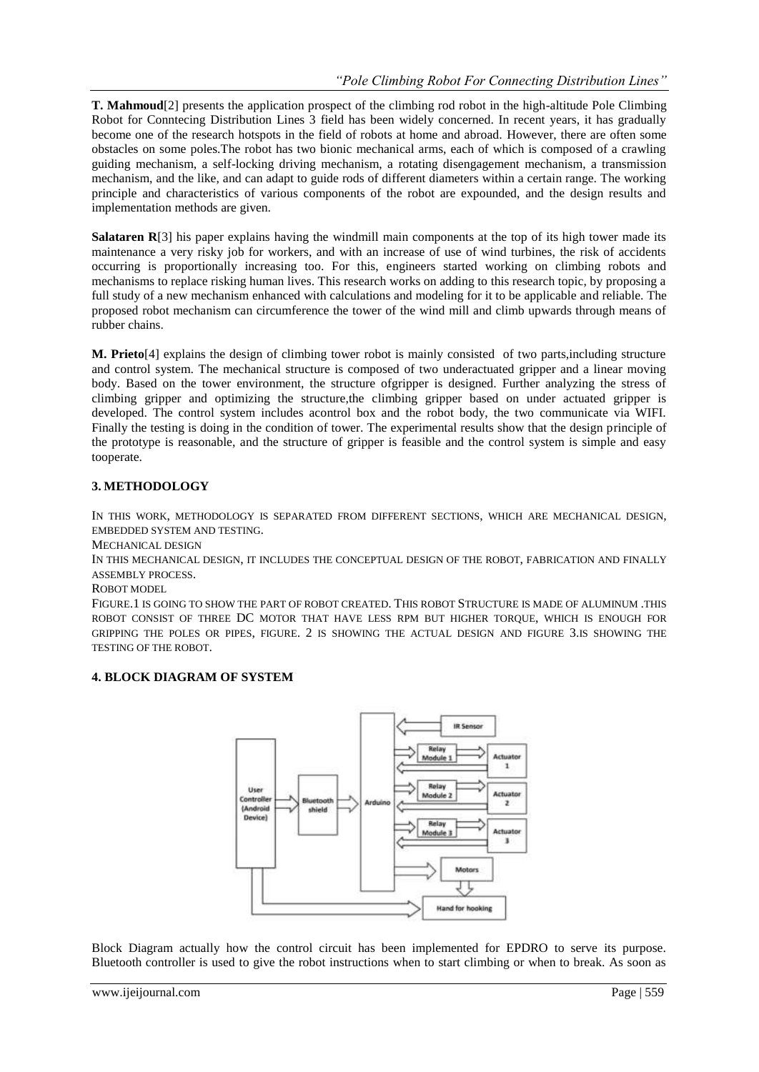**T. Mahmoud**[2] presents the application prospect of the climbing rod robot in the high-altitude Pole Climbing Robot for Conntecing Distribution Lines 3 field has been widely concerned. In recent years, it has gradually become one of the research hotspots in the field of robots at home and abroad. However, there are often some obstacles on some poles.The robot has two bionic mechanical arms, each of which is composed of a crawling guiding mechanism, a self-locking driving mechanism, a rotating disengagement mechanism, a transmission mechanism, and the like, and can adapt to guide rods of different diameters within a certain range. The working principle and characteristics of various components of the robot are expounded, and the design results and implementation methods are given.

**Salataren R**[3] his paper explains having the windmill main components at the top of its high tower made its maintenance a very risky job for workers, and with an increase of use of wind turbines, the risk of accidents occurring is proportionally increasing too. For this, engineers started working on climbing robots and mechanisms to replace risking human lives. This research works on adding to this research topic, by proposing a full study of a new mechanism enhanced with calculations and modeling for it to be applicable and reliable. The proposed robot mechanism can circumference the tower of the wind mill and climb upwards through means of rubber chains.

**M. Prieto**[4] explains the design of climbing tower robot is mainly consisted of two parts,including structure and control system. The mechanical structure is composed of two underactuated gripper and a linear moving body. Based on the tower environment, the structure ofgripper is designed. Further analyzing the stress of climbing gripper and optimizing the structure,the climbing gripper based on under actuated gripper is developed. The control system includes acontrol box and the robot body, the two communicate via WIFI. Finally the testing is doing in the condition of tower. The experimental results show that the design principle of the prototype is reasonable, and the structure of gripper is feasible and the control system is simple and easy tooperate.

# **3. METHODOLOGY**

IN THIS WORK, METHODOLOGY IS SEPARATED FROM DIFFERENT SECTIONS, WHICH ARE MECHANICAL DESIGN, EMBEDDED SYSTEM AND TESTING.

MECHANICAL DESIGN

IN THIS MECHANICAL DESIGN, IT INCLUDES THE CONCEPTUAL DESIGN OF THE ROBOT, FABRICATION AND FINALLY ASSEMBLY PROCESS.

ROBOT MODEL

FIGURE.1 IS GOING TO SHOW THE PART OF ROBOT CREATED. THIS ROBOT STRUCTURE IS MADE OF ALUMINUM .THIS ROBOT CONSIST OF THREE DC MOTOR THAT HAVE LESS RPM BUT HIGHER TORQUE, WHICH IS ENOUGH FOR GRIPPING THE POLES OR PIPES, FIGURE. 2 IS SHOWING THE ACTUAL DESIGN AND FIGURE 3.IS SHOWING THE TESTING OF THE ROBOT.

# **4. BLOCK DIAGRAM OF SYSTEM**



Block Diagram actually how the control circuit has been implemented for EPDRO to serve its purpose. Bluetooth controller is used to give the robot instructions when to start climbing or when to break. As soon as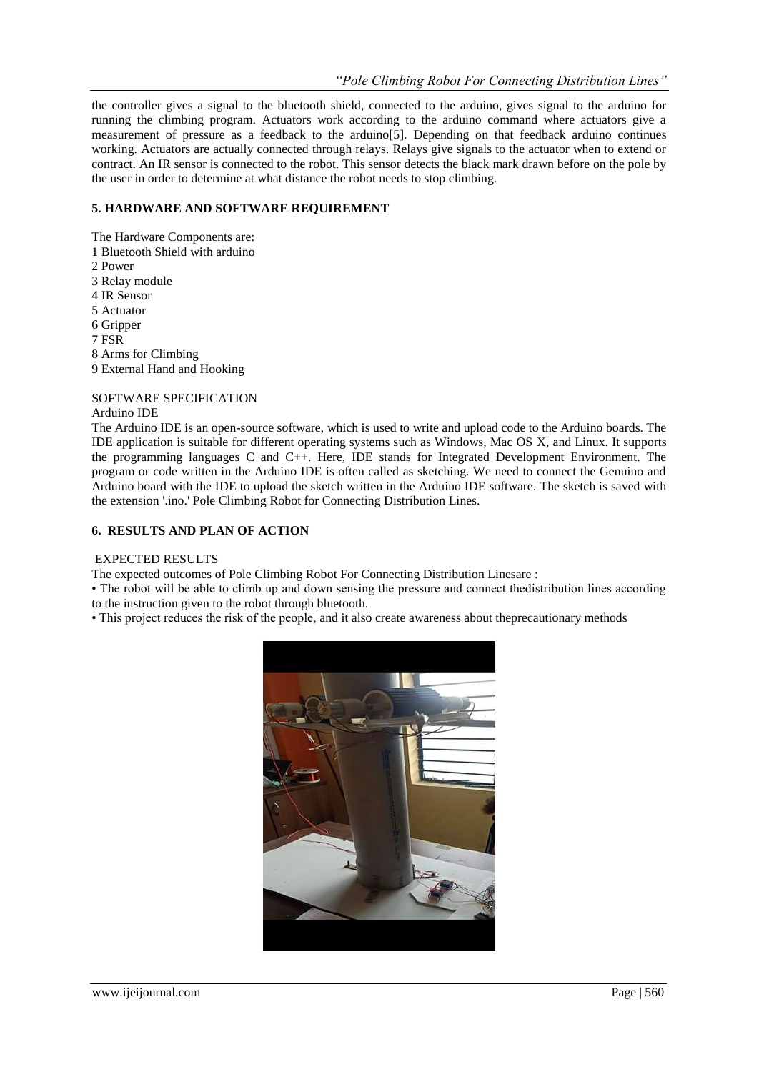the controller gives a signal to the bluetooth shield, connected to the arduino, gives signal to the arduino for running the climbing program. Actuators work according to the arduino command where actuators give a measurement of pressure as a feedback to the arduino[5]. Depending on that feedback arduino continues working. Actuators are actually connected through relays. Relays give signals to the actuator when to extend or contract. An IR sensor is connected to the robot. This sensor detects the black mark drawn before on the pole by the user in order to determine at what distance the robot needs to stop climbing.

## **5. HARDWARE AND SOFTWARE REQUIREMENT**

The Hardware Components are: 1 Bluetooth Shield with arduino 2 Power 3 Relay module 4 IR Sensor 5 Actuator 6 Gripper 7 FSR 8 Arms for Climbing 9 External Hand and Hooking SOFTWARE SPECIFICATION

Arduino IDE

The Arduino IDE is an open-source software, which is used to write and upload code to the Arduino boards. The IDE application is suitable for different operating systems such as Windows, Mac OS X, and Linux. It supports the programming languages C and C++. Here, IDE stands for Integrated Development Environment. The program or code written in the Arduino IDE is often called as sketching. We need to connect the Genuino and Arduino board with the IDE to upload the sketch written in the Arduino IDE software. The sketch is saved with the extension '.ino.' Pole Climbing Robot for Connecting Distribution Lines.

### **6. RESULTS AND PLAN OF ACTION**

#### EXPECTED RESULTS

The expected outcomes of Pole Climbing Robot For Connecting Distribution Linesare :

• The robot will be able to climb up and down sensing the pressure and connect thedistribution lines according to the instruction given to the robot through bluetooth.

• This project reduces the risk of the people, and it also create awareness about theprecautionary methods